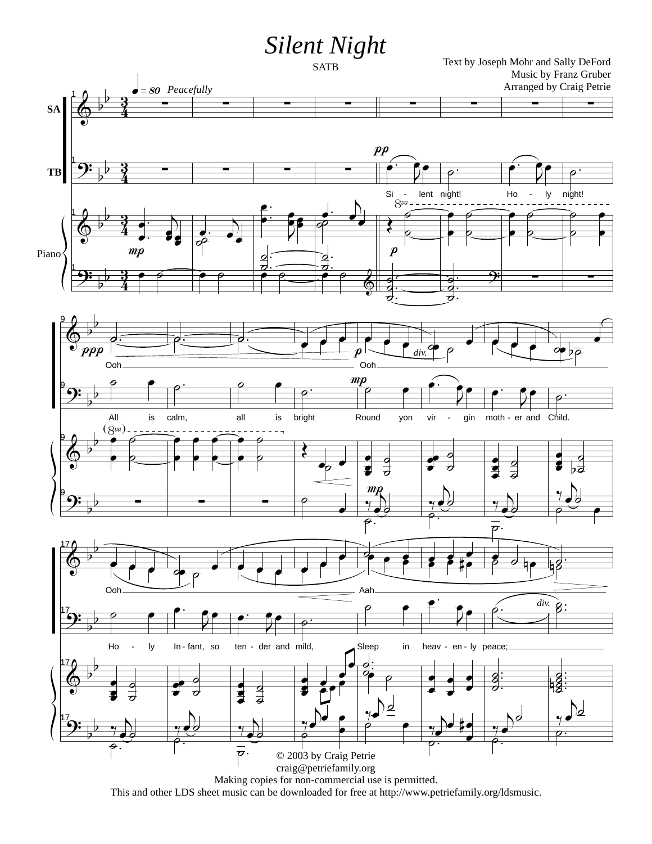## *Silent Night*



This and other LDS sheet music can be downloaded for free at http://www.petriefamily.org/ldsmusic.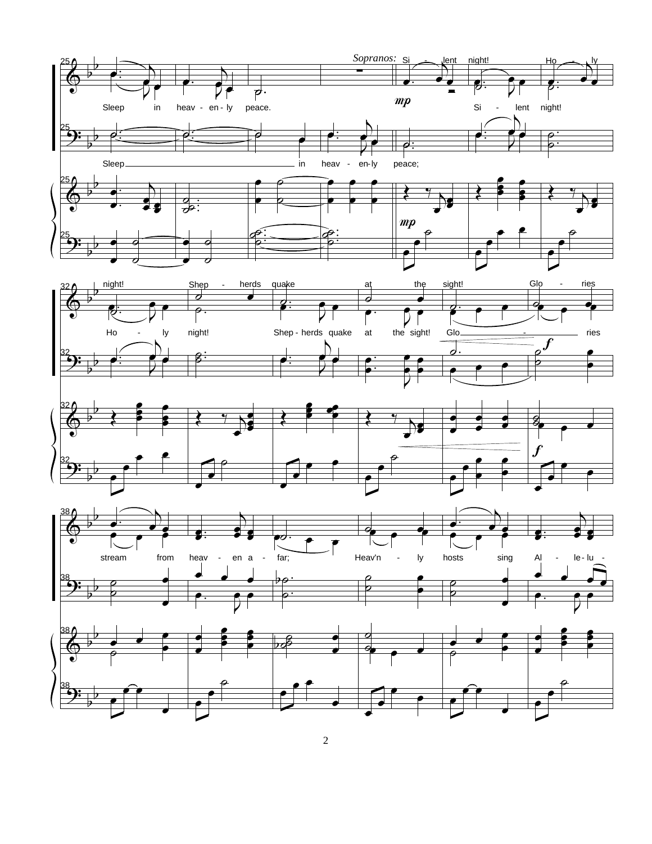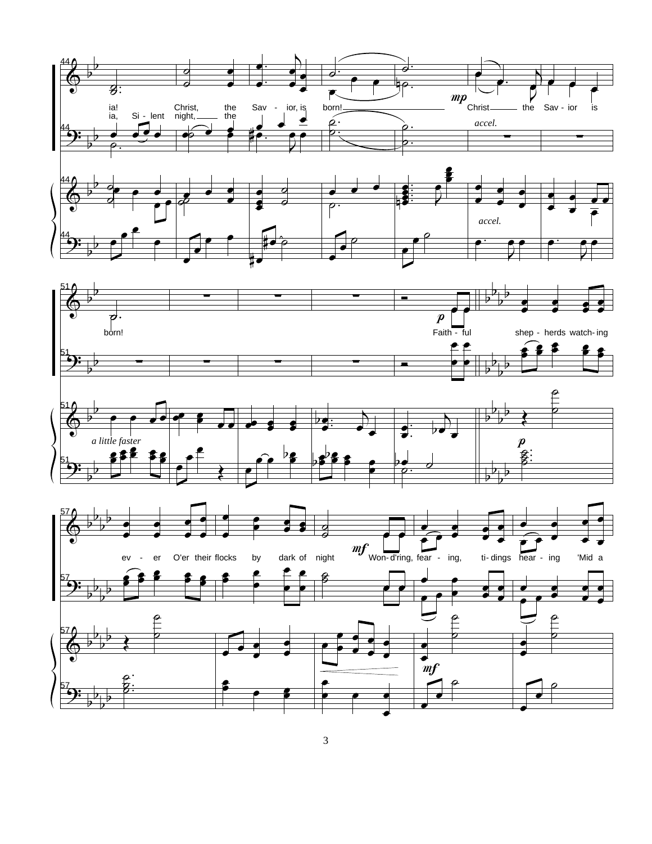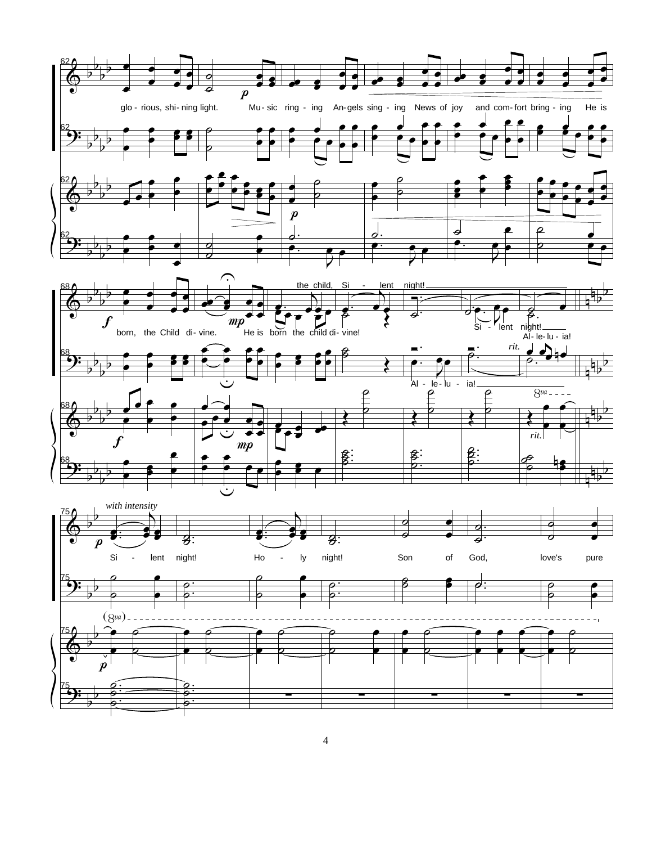